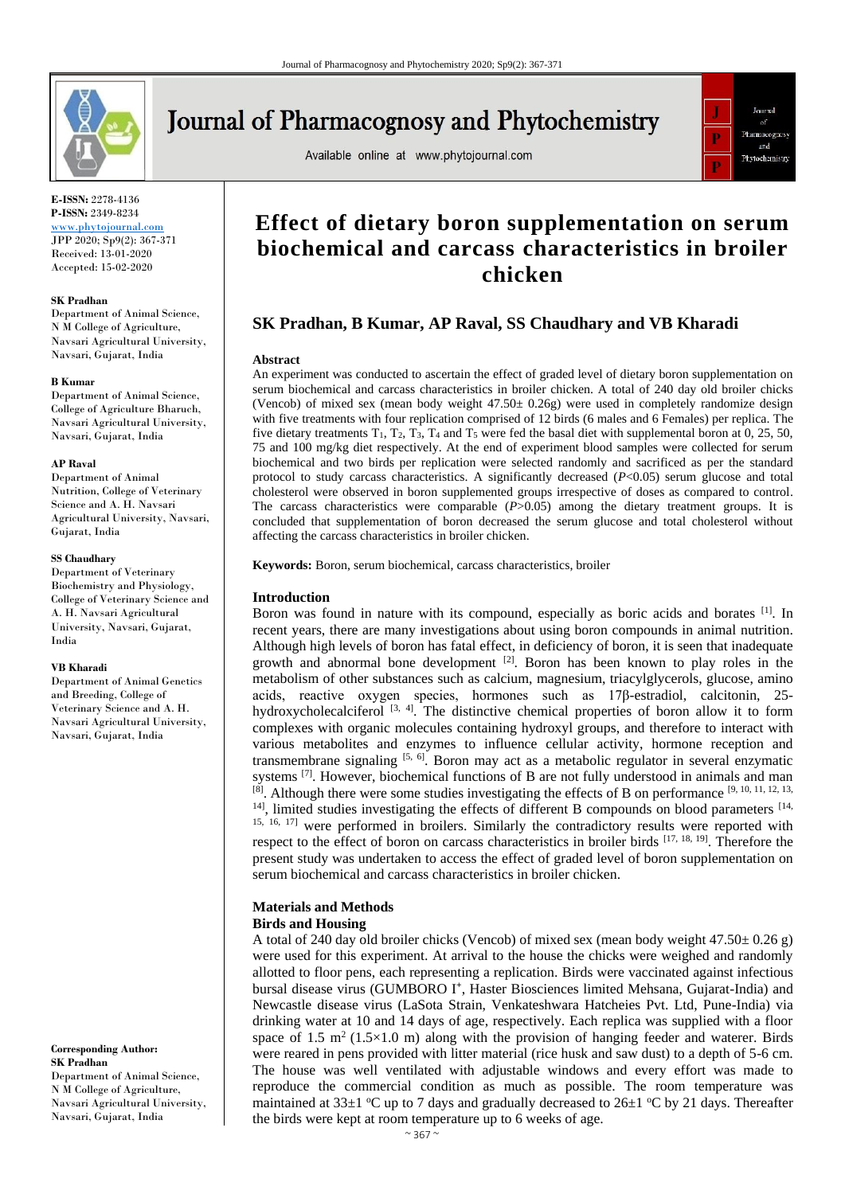

# **Journal of Pharmacognosy and Phytochemistry**

Available online at www.phytojournal.com



**E-ISSN:** 2278-4136 **P-ISSN:** 2349-8234

<www.phytojournal.com> JPP 2020; Sp9(2): 367-371 Received: 13-01-2020 Accepted: 15-02-2020

#### **SK Pradhan**

Department of Animal Science, N M College of Agriculture, Navsari Agricultural University, Navsari, Gujarat, India

#### **B Kumar**

Department of Animal Science, College of Agriculture Bharuch, Navsari Agricultural University, Navsari, Gujarat, India

#### **AP Raval**

Department of Animal Nutrition, College of Veterinary Science and A. H. Navsari Agricultural University, Navsari, Gujarat, India

#### **SS Chaudhary**

Department of Veterinary Biochemistry and Physiology, College of Veterinary Science and A. H. Navsari Agricultural University, Navsari, Gujarat, India

#### **VB Kharadi**

Department of Animal Genetics and Breeding, College of Veterinary Science and A. H. Navsari Agricultural University, Navsari, Gujarat, India

**Corresponding Author: SK Pradhan** Department of Animal Science, N M College of Agriculture, Navsari Agricultural University, Navsari, Gujarat, India

# **Effect of dietary boron supplementation on serum biochemical and carcass characteristics in broiler chicken**

# **SK Pradhan, B Kumar, AP Raval, SS Chaudhary and VB Kharadi**

#### **Abstract**

An experiment was conducted to ascertain the effect of graded level of dietary boron supplementation on serum biochemical and carcass characteristics in broiler chicken. A total of 240 day old broiler chicks (Vencob) of mixed sex (mean body weight  $47.50 \pm 0.26$ g) were used in completely randomize design with five treatments with four replication comprised of 12 birds (6 males and 6 Females) per replica. The five dietary treatments  $T_1$ ,  $T_2$ ,  $T_3$ ,  $T_4$  and  $T_5$  were fed the basal diet with supplemental boron at 0, 25, 50, 75 and 100 mg/kg diet respectively. At the end of experiment blood samples were collected for serum biochemical and two birds per replication were selected randomly and sacrificed as per the standard protocol to study carcass characteristics. A significantly decreased (*P*<0.05) serum glucose and total cholesterol were observed in boron supplemented groups irrespective of doses as compared to control. The carcass characteristics were comparable  $(P>0.05)$  among the dietary treatment groups. It is concluded that supplementation of boron decreased the serum glucose and total cholesterol without affecting the carcass characteristics in broiler chicken.

**Keywords:** Boron, serum biochemical, carcass characteristics, broiler

#### **Introduction**

Boron was found in nature with its compound, especially as boric acids and borates [1]. In recent years, there are many investigations about using boron compounds in animal nutrition. Although high levels of boron has fatal effect, in deficiency of boron, it is seen that inadequate growth and abnormal bone development  $[2]$ . Boron has been known to play roles in the metabolism of other substances such as calcium, magnesium, triacylglycerols, glucose, amino acids, reactive oxygen species, hormones such as 17β-estradiol, calcitonin, 25 hydroxycholecalciferol  $[3, 4]$ . The distinctive chemical properties of boron allow it to form complexes with organic molecules containing hydroxyl groups, and therefore to interact with various metabolites and enzymes to influence cellular activity, hormone reception and transmembrane signaling  $[5, 6]$ . Boron may act as a metabolic regulator in several enzymatic systems <sup>[7]</sup>. However, biochemical functions of B are not fully understood in animals and man  $[8]$ . Although there were some studies investigating the effects of B on performance  $[9, 10, 11, 12, 13,$ <sup>14]</sup>, limited studies investigating the effects of different B compounds on blood parameters <sup>[14,</sup> <sup>15, 16, 17]</sup> were performed in broilers. Similarly the contradictory results were reported with respect to the effect of boron on carcass characteristics in broiler birds [17, 18, 19]. Therefore the present study was undertaken to access the effect of graded level of boron supplementation on serum biochemical and carcass characteristics in broiler chicken.

#### **Materials and Methods Birds and Housing**

A total of 240 day old broiler chicks (Vencob) of mixed sex (mean body weight  $47.50 \pm 0.26$  g) were used for this experiment. At arrival to the house the chicks were weighed and randomly allotted to floor pens, each representing a replication. Birds were vaccinated against infectious bursal disease virus (GUMBORO I<sup>+</sup>, Haster Biosciences limited Mehsana, Gujarat-India) and Newcastle disease virus (LaSota Strain, Venkateshwara Hatcheies Pvt. Ltd, Pune-India) via drinking water at 10 and 14 days of age, respectively. Each replica was supplied with a floor space of 1.5 m<sup>2</sup> (1.5×1.0 m) along with the provision of hanging feeder and waterer. Birds were reared in pens provided with litter material (rice husk and saw dust) to a depth of 5-6 cm. The house was well ventilated with adjustable windows and every effort was made to reproduce the commercial condition as much as possible. The room temperature was maintained at 33 $\pm$ 1 °C up to 7 days and gradually decreased to 26 $\pm$ 1 °C by 21 days. Thereafter the birds were kept at room temperature up to 6 weeks of age.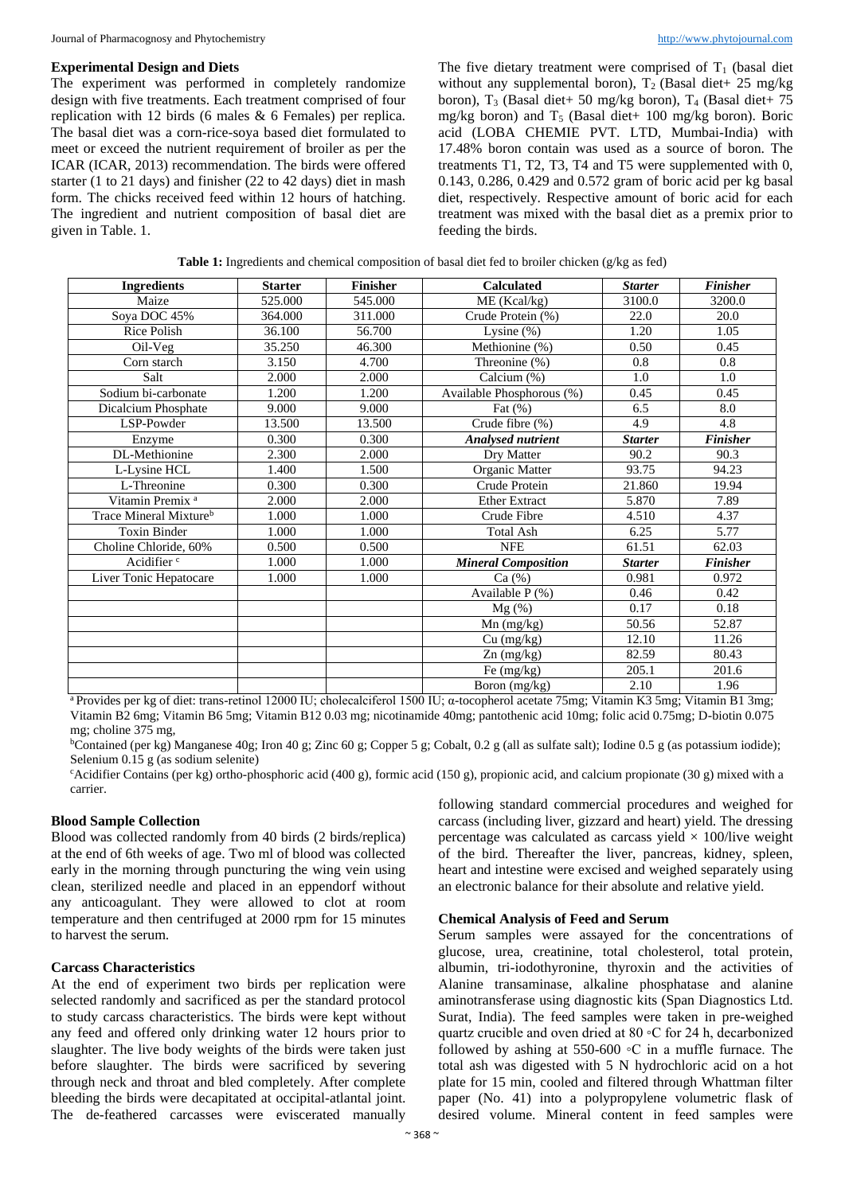#### **Experimental Design and Diets**

The experiment was performed in completely randomize design with five treatments. Each treatment comprised of four replication with 12 birds (6 males & 6 Females) per replica. The basal diet was a corn-rice-soya based diet formulated to meet or exceed the nutrient requirement of broiler as per the ICAR (ICAR, 2013) recommendation. The birds were offered starter (1 to 21 days) and finisher (22 to 42 days) diet in mash form. The chicks received feed within 12 hours of hatching. The ingredient and nutrient composition of basal diet are given in Table. 1.

The five dietary treatment were comprised of  $T_1$  (basal diet without any supplemental boron),  $T_2$  (Basal diet+ 25 mg/kg) boron),  $T_3$  (Basal diet+ 50 mg/kg boron),  $T_4$  (Basal diet+ 75 mg/kg boron) and  $T_5$  (Basal diet+ 100 mg/kg boron). Boric acid (LOBA CHEMIE PVT. LTD, Mumbai-India) with 17.48% boron contain was used as a source of boron. The treatments T1, T2, T3, T4 and T5 were supplemented with 0, 0.143, 0.286, 0.429 and 0.572 gram of boric acid per kg basal diet, respectively. Respective amount of boric acid for each treatment was mixed with the basal diet as a premix prior to feeding the birds.

**Table 1:** Ingredients and chemical composition of basal diet fed to broiler chicken (g/kg as fed)

| <b>Ingredients</b>                 | <b>Starter</b> | <b>Finisher</b> | <b>Calculated</b>          | <b>Starter</b> | <b>Finisher</b> |  |
|------------------------------------|----------------|-----------------|----------------------------|----------------|-----------------|--|
| Maize                              | 525.000        | 545.000         | ME (Kcal/kg)<br>3100.0     |                | 3200.0          |  |
| Soya DOC 45%                       | 364.000        | 311.000         | Crude Protein (%)          | 22.0           | 20.0            |  |
| Rice Polish                        | 36.100         | 56.700          | Lysine $(\%)$              | 1.20           | 1.05            |  |
| Oil-Veg                            | 35.250         | 46.300          | Methionine (%)<br>0.50     |                | 0.45            |  |
| Corn starch                        | 3.150          | 4.700           | Threonine (%)<br>0.8       |                | 0.8             |  |
| Salt                               | 2.000          | 2.000           | Calcium (%)<br>1.0         |                | 1.0             |  |
| Sodium bi-carbonate                | 1.200          | 1.200           | Available Phosphorous (%)  | 0.45           | 0.45            |  |
| Dicalcium Phosphate                | 9.000          | 9.000           | Fat $(\%)$                 | 6.5            | 8.0             |  |
| LSP-Powder                         | 13.500         | 13.500          | Crude fibre (%)            | 4.9            | 4.8             |  |
| Enzyme                             | 0.300          | 0.300           | <b>Analysed nutrient</b>   | <b>Starter</b> | <b>Finisher</b> |  |
| DL-Methionine                      | 2.300          | 2.000           | Dry Matter                 | 90.2           | 90.3            |  |
| L-Lysine HCL                       | 1.400          | 1.500           | Organic Matter             | 93.75          | 94.23           |  |
| L-Threonine                        | 0.300          | 0.300           | Crude Protein              | 21.860         | 19.94           |  |
| Vitamin Premix <sup>a</sup>        | 2.000          | 2.000           | <b>Ether Extract</b>       | 5.870          | 7.89            |  |
| Trace Mineral Mixture <sup>b</sup> | 1.000          | 1.000           | Crude Fibre                | 4.510          | 4.37            |  |
| <b>Toxin Binder</b>                | 1.000          | 1.000           | <b>Total Ash</b>           | 6.25           | 5.77            |  |
| Choline Chloride, 60%              | 0.500          | 0.500           | <b>NFE</b>                 | 61.51          | 62.03           |  |
| Acidifier <sup>c</sup>             | 1.000          | 1.000           | <b>Mineral Composition</b> | <b>Starter</b> | <b>Finisher</b> |  |
| Liver Tonic Hepatocare             | 1.000          | 1.000           | Ca(%)                      | 0.981          | 0.972           |  |
|                                    |                |                 | Available $P$ (%)          | 0.46           | 0.42            |  |
|                                    |                |                 | $Mg(\%)$                   | 0.17           | 0.18            |  |
|                                    |                |                 | Mn (mg/kg)                 | 50.56          | 52.87           |  |
|                                    |                |                 | Cu (mg/kg)                 | 12.10          | 11.26           |  |
|                                    |                |                 | $Zn$ (mg/kg)               | 82.59          | 80.43           |  |
|                                    |                |                 | Fe $(mg/kg)$               | 205.1          | 201.6           |  |
|                                    |                |                 | Boron (mg/kg)              | 2.10           | 1.96            |  |

<sup>a</sup>Provides per kg of diet: trans-retinol 12000 IU; cholecalciferol 1500 IU; α-tocopherol acetate 75mg; Vitamin K3 5mg; Vitamin B1 3mg; Vitamin B2 6mg; Vitamin B6 5mg; Vitamin B12 0.03 mg; nicotinamide 40mg; pantothenic acid 10mg; folic acid 0.75mg; D-biotin 0.075 mg; choline 375 mg,

<sup>b</sup>Contained (per kg) Manganese 40g; Iron 40 g; Zinc 60 g; Copper 5 g; Cobalt, 0.2 g (all as sulfate salt); Iodine 0.5 g (as potassium iodide); Selenium 0.15 g (as sodium selenite)

<sup>c</sup>Acidifier Contains (per kg) ortho-phosphoric acid (400 g), formic acid (150 g), propionic acid, and calcium propionate (30 g) mixed with a carrier.

## **Blood Sample Collection**

Blood was collected randomly from 40 birds (2 birds/replica) at the end of 6th weeks of age. Two ml of blood was collected early in the morning through puncturing the wing vein using clean, sterilized needle and placed in an eppendorf without any anticoagulant. They were allowed to clot at room temperature and then centrifuged at 2000 rpm for 15 minutes to harvest the serum.

# **Carcass Characteristics**

At the end of experiment two birds per replication were selected randomly and sacrificed as per the standard protocol to study carcass characteristics. The birds were kept without any feed and offered only drinking water 12 hours prior to slaughter. The live body weights of the birds were taken just before slaughter. The birds were sacrificed by severing through neck and throat and bled completely. After complete bleeding the birds were decapitated at occipital-atlantal joint. The de-feathered carcasses were eviscerated manually

following standard commercial procedures and weighed for carcass (including liver, gizzard and heart) yield. The dressing percentage was calculated as carcass yield  $\times$  100/live weight of the bird. Thereafter the liver, pancreas, kidney, spleen, heart and intestine were excised and weighed separately using an electronic balance for their absolute and relative yield.

#### **Chemical Analysis of Feed and Serum**

Serum samples were assayed for the concentrations of glucose, urea, creatinine, total cholesterol, total protein, albumin, tri-iodothyronine, thyroxin and the activities of Alanine transaminase, alkaline phosphatase and alanine aminotransferase using diagnostic kits (Span Diagnostics Ltd. Surat, India). The feed samples were taken in pre-weighed quartz crucible and oven dried at 80 ◦C for 24 h, decarbonized followed by ashing at 550-600 ◦C in a muffle furnace. The total ash was digested with 5 N hydrochloric acid on a hot plate for 15 min, cooled and filtered through Whattman filter paper (No. 41) into a polypropylene volumetric flask of desired volume. Mineral content in feed samples were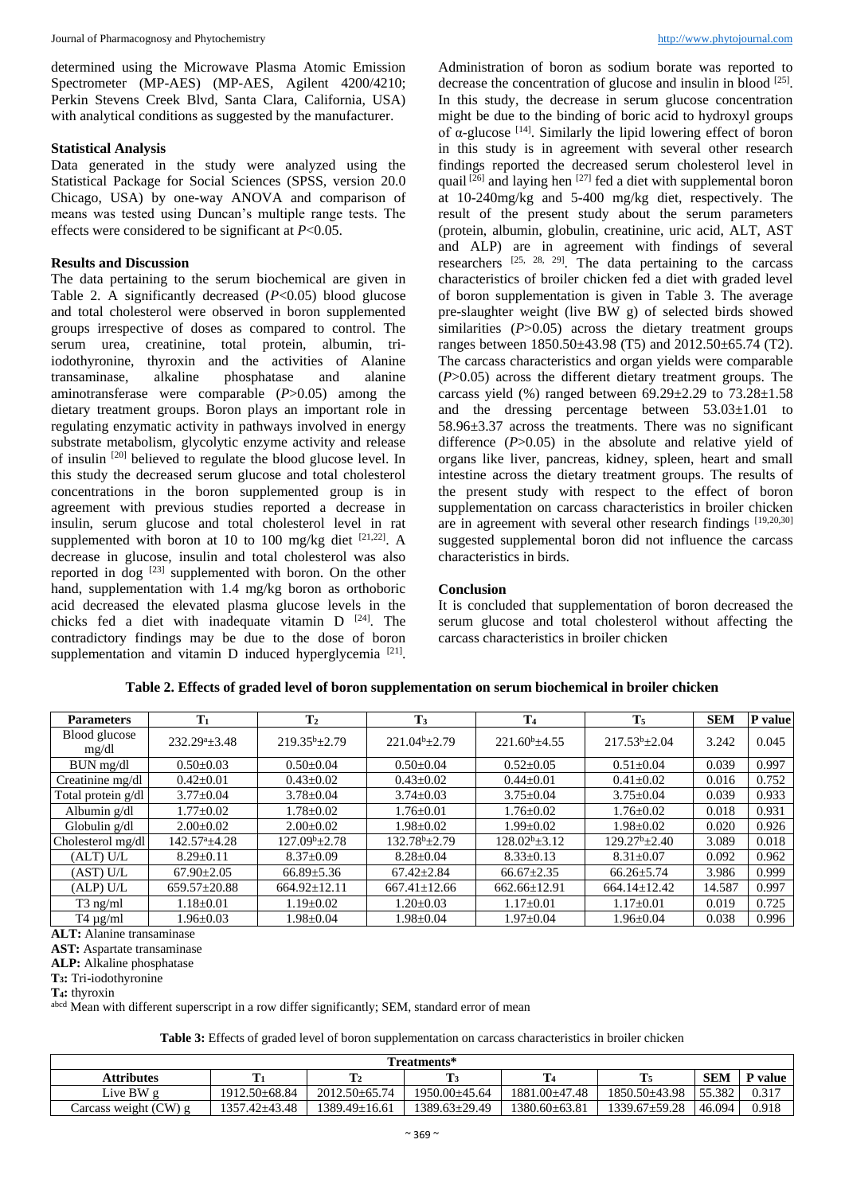determined using the Microwave Plasma Atomic Emission Spectrometer (MP-AES) (MP-AES, Agilent 4200/4210; Perkin Stevens Creek Blvd, Santa Clara, California, USA) with analytical conditions as suggested by the manufacturer.

# **Statistical Analysis**

Data generated in the study were analyzed using the Statistical Package for Social Sciences (SPSS, version 20.0 Chicago, USA) by one-way ANOVA and comparison of means was tested using Duncan's multiple range tests. The effects were considered to be significant at *P*<0.05.

# **Results and Discussion**

The data pertaining to the serum biochemical are given in Table 2. A significantly decreased (*P*<0.05) blood glucose and total cholesterol were observed in boron supplemented groups irrespective of doses as compared to control. The serum urea, creatinine, total protein, albumin, triiodothyronine, thyroxin and the activities of Alanine transaminase, alkaline phosphatase and alanine aminotransferase were comparable (*P*>0.05) among the dietary treatment groups. Boron plays an important role in regulating enzymatic activity in pathways involved in energy substrate metabolism, glycolytic enzyme activity and release of insulin [20] believed to regulate the blood glucose level. In this study the decreased serum glucose and total cholesterol concentrations in the boron supplemented group is in agreement with previous studies reported a decrease in insulin, serum glucose and total cholesterol level in rat supplemented with boron at 10 to 100 mg/kg diet  $[21,22]$ . A decrease in glucose, insulin and total cholesterol was also reported in dog <sup>[23]</sup> supplemented with boron. On the other hand, supplementation with 1.4 mg/kg boron as orthoboric acid decreased the elevated plasma glucose levels in the chicks fed a diet with inadequate vitamin  $D$  [24]. The contradictory findings may be due to the dose of boron supplementation and vitamin D induced hyperglycemia<sup>[21]</sup>.

Administration of boron as sodium borate was reported to decrease the concentration of glucose and insulin in blood [25]. In this study, the decrease in serum glucose concentration might be due to the binding of boric acid to hydroxyl groups of  $\alpha$ -glucose <sup>[14]</sup>. Similarly the lipid lowering effect of boron in this study is in agreement with several other research findings reported the decreased serum cholesterol level in quail  $^{[26]}$  and laying hen  $^{[27]}$  fed a diet with supplemental boron at 10-240mg/kg and 5-400 mg/kg diet, respectively. The result of the present study about the serum parameters (protein, albumin, globulin, creatinine, uric acid, ALT, AST and ALP) are in agreement with findings of several researchers  $^{[25, 28, 29]}$ . The data pertaining to the carcass characteristics of broiler chicken fed a diet with graded level of boron supplementation is given in Table 3. The average pre-slaughter weight (live BW g) of selected birds showed similarities (*P*>0.05) across the dietary treatment groups ranges between 1850.50±43.98 (T5) and 2012.50±65.74 (T2). The carcass characteristics and organ yields were comparable (*P*>0.05) across the different dietary treatment groups. The carcass yield  $(\%)$  ranged between 69.29 $\pm$ 2.29 to 73.28 $\pm$ 1.58 and the dressing percentage between  $53.03 \pm 1.01$  to 58.96±3.37 across the treatments. There was no significant difference (*P*>0.05) in the absolute and relative yield of organs like liver, pancreas, kidney, spleen, heart and small intestine across the dietary treatment groups. The results of the present study with respect to the effect of boron supplementation on carcass characteristics in broiler chicken are in agreement with several other research findings [19,20,30] suggested supplemental boron did not influence the carcass characteristics in birds.

## **Conclusion**

It is concluded that supplementation of boron decreased the serum glucose and total cholesterol without affecting the carcass characteristics in broiler chicken

| <b>Parameters</b>      | $\mathbf{T}_1$              | $\mathbf{T}_2$     | $\mathbf{T}_3$      | T <sub>4</sub>      | $T_5$                   | <b>SEM</b> | P value |
|------------------------|-----------------------------|--------------------|---------------------|---------------------|-------------------------|------------|---------|
| Blood glucose<br>mg/dl | $232.29^a \pm 3.48$         | $219.35^{b}+2.79$  | $221.04^{b}+2.79$   | $221.60^{b} + 4.55$ | $217.53^{b}+2.04$       | 3.242      | 0.045   |
| BUN mg/dl              | $0.50 + 0.03$               | $0.50+0.04$        | $0.50+0.04$         | $0.52 + 0.05$       | $0.51 \pm 0.04$         | 0.039      | 0.997   |
| Creatinine mg/dl       | $0.42 \pm 0.01$             | $0.43 \pm 0.02$    | $0.43 \pm 0.02$     | $0.44 \pm 0.01$     | $0.41 \pm 0.02$         | 0.016      | 0.752   |
| Total protein g/dl     | $3.77 \pm 0.04$             | $3.78 \pm 0.04$    | $3.74 \pm 0.03$     | $3.75 \pm 0.04$     | $3.75 \pm 0.04$         | 0.039      | 0.933   |
| Albumin $g/dl$         | $1.77 \pm 0.02$             | $1.78 \pm 0.02$    | $1.76 \pm 0.01$     | $1.76 \pm 0.02$     | $1.76 \pm 0.02$         | 0.018      | 0.931   |
| Globulin g/dl          | $2.00 \pm 0.02$             | $2.00+0.02$        | $1.98 \pm 0.02$     | $1.99 + 0.02$       | $1.98 \pm 0.02$         | 0.020      | 0.926   |
| Cholesterol mg/dl      | $142.57^{\mathrm{a}}$ ±4.28 | $127.09^{b}+2.78$  | $132.78^b \pm 2.79$ | $128.02^b \pm 3.12$ | $129.27^{\rm b} + 2.40$ | 3.089      | 0.018   |
| (ALT) U/L              | $8.29 \pm 0.11$             | $8.37 \pm 0.09$    | $8.28 \pm 0.04$     | $8.33 \pm 0.13$     | $8.31 \pm 0.07$         | 0.092      | 0.962   |
| (AST) U/L              | $67.90 \pm 2.05$            | $66.89 \pm 5.36$   | $67.42 \pm 2.84$    | $66.67 \pm 2.35$    | $66.26 \pm 5.74$        | 3.986      | 0.999   |
| (ALP) U/L              | $659.57 \pm 20.88$          | $664.92 \pm 12.11$ | $667.41 \pm 12.66$  | $662.66 \pm 12.91$  | $664.14 \pm 12.42$      | 14.587     | 0.997   |
| $T3$ ng/ml             | $1.18 \pm 0.01$             | $1.19 \pm 0.02$    | $1.20 \pm 0.03$     | $1.17 \pm 0.01$     | $1.17 \pm 0.01$         | 0.019      | 0.725   |
| $T4 \mu g/ml$          | $1.96 \pm 0.03$             | $1.98 \pm 0.04$    | $1.98 \pm 0.04$     | $1.97 \pm 0.04$     | $1.96 \pm 0.04$         | 0.038      | 0.996   |

**Table 2. Effects of graded level of boron supplementation on serum biochemical in broiler chicken**

**ALT:** Alanine transaminase

**AST:** Aspartate transaminase

**ALP:** Alkaline phosphatase

**T3:** Tri-iodothyronine

**T4:** thyroxin

abcd Mean with different superscript in a row differ significantly; SEM, standard error of mean

**Table 3:** Effects of graded level of boron supplementation on carcass characteristics in broiler chicken

| Treatments*           |               |                    |                     |                     |                     |            |         |  |
|-----------------------|---------------|--------------------|---------------------|---------------------|---------------------|------------|---------|--|
| <b>Attributes</b>     | m             | m<br>. .           |                     | 14                  |                     | <b>SEM</b> | P value |  |
| Live BW g             | 1912.50±68.84 | $2012.50\pm 65.74$ | 1950.00+45.64       | 1881.00+47.48       | $1850.50\pm43.98$   | 55.382     | 0.317   |  |
| Carcass weight (CW) g | 1357.42±43.48 | 1389.49±16.61      | $1389.63 \pm 29.49$ | $1380.60 \pm 63.81$ | $1339.67 \pm 59.28$ | 46.094     | 0.918   |  |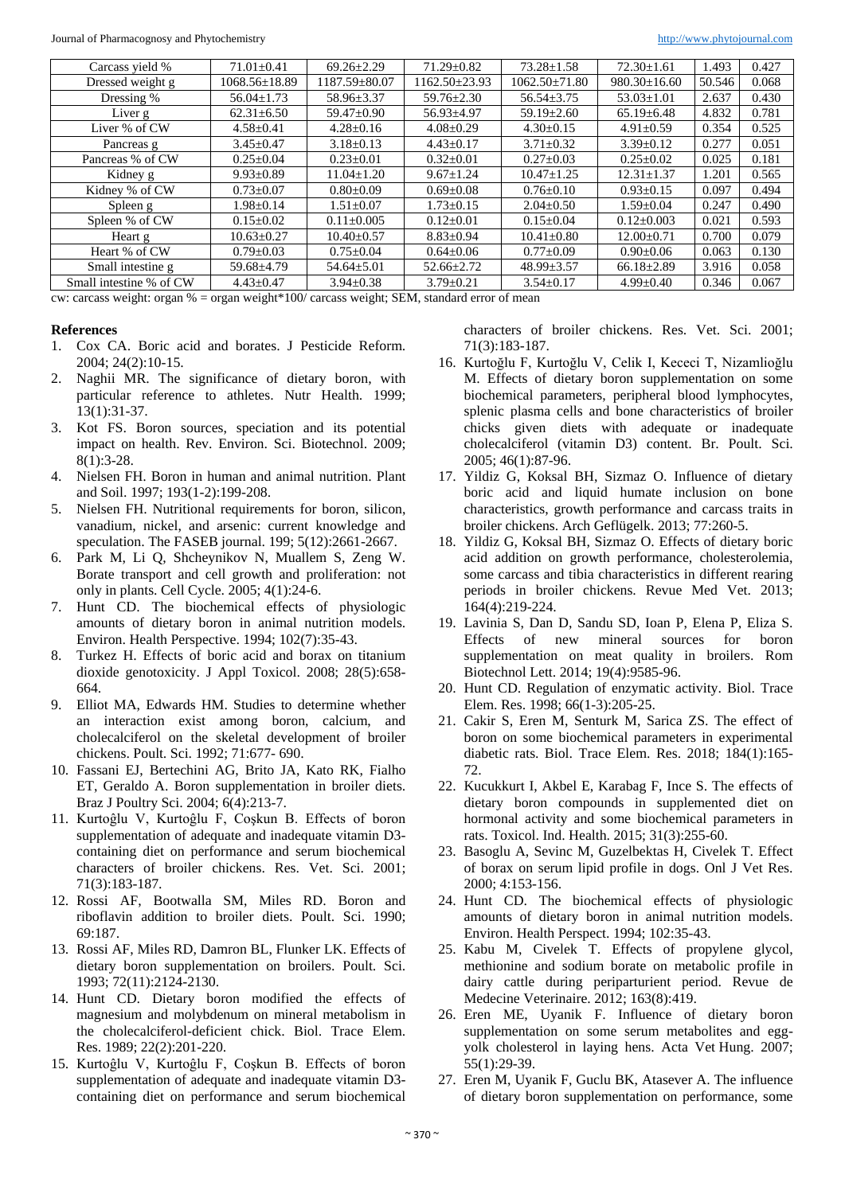Journal of Pharmacognosy and Phytochemistry [http://www.phytojournal.com](http://www.phytojournal.com/)

| Carcass yield %                                                                                                                                                                                                                                                                                                            | $71.01 \pm 0.41$    | $69.26 \pm 2.29$ | $71.29 \pm 0.82$    | $73.28 \pm 1.58$    | $72.30 \pm 1.61$   | 1.493  | 0.427 |  |
|----------------------------------------------------------------------------------------------------------------------------------------------------------------------------------------------------------------------------------------------------------------------------------------------------------------------------|---------------------|------------------|---------------------|---------------------|--------------------|--------|-------|--|
| Dressed weight g                                                                                                                                                                                                                                                                                                           | $1068.56 \pm 18.89$ | 1187.59±80.07    | $1162.50 \pm 23.93$ | $1062.50 \pm 71.80$ | $980.30 \pm 16.60$ | 50.546 | 0.068 |  |
| Dressing %                                                                                                                                                                                                                                                                                                                 | $56.04 \pm 1.73$    | $58.96 \pm 3.37$ | $59.76 \pm 2.30$    | $56.54 \pm 3.75$    | $53.03 \pm 1.01$   | 2.637  | 0.430 |  |
| Liver g                                                                                                                                                                                                                                                                                                                    | $62.31 \pm 6.50$    | $59.47 \pm 0.90$ | $56.93 \pm 4.97$    | $59.19 \pm 2.60$    | $65.19 \pm 6.48$   | 4.832  | 0.781 |  |
| Liver % of CW                                                                                                                                                                                                                                                                                                              | $4.58 \pm 0.41$     | $4.28 \pm 0.16$  | $4.08 \pm 0.29$     | $4.30 \pm 0.15$     | $4.91 \pm 0.59$    | 0.354  | 0.525 |  |
| Pancreas g                                                                                                                                                                                                                                                                                                                 | $3.45 \pm 0.47$     | $3.18 \pm 0.13$  | $4.43 \pm 0.17$     | $3.71 \pm 0.32$     | $3.39 \pm 0.12$    | 0.277  | 0.051 |  |
| Pancreas % of CW                                                                                                                                                                                                                                                                                                           | $0.25 \pm 0.04$     | $0.23 \pm 0.01$  | $0.32 \pm 0.01$     | $0.27 \pm 0.03$     | $0.25 \pm 0.02$    | 0.025  | 0.181 |  |
| Kidney g                                                                                                                                                                                                                                                                                                                   | $9.93 \pm 0.89$     | $11.04 \pm 1.20$ | $9.67 \pm 1.24$     | $10.47 \pm 1.25$    | $12.31 \pm 1.37$   | 1.201  | 0.565 |  |
| Kidney % of CW                                                                                                                                                                                                                                                                                                             | $0.73 \pm 0.07$     | $0.80 \pm 0.09$  | $0.69 \pm 0.08$     | $0.76 \pm 0.10$     | $0.93 \pm 0.15$    | 0.097  | 0.494 |  |
| Spleen g                                                                                                                                                                                                                                                                                                                   | $1.98 \pm 0.14$     | $1.51 \pm 0.07$  | $1.73 \pm 0.15$     | $2.04 \pm 0.50$     | 1.59±0.04          | 0.247  | 0.490 |  |
| Spleen % of CW                                                                                                                                                                                                                                                                                                             | $0.15 \pm 0.02$     | $0.11 \pm 0.005$ | $0.12 \pm 0.01$     | $0.15 \pm 0.04$     | $0.12 \pm 0.003$   | 0.021  | 0.593 |  |
| Heart g                                                                                                                                                                                                                                                                                                                    | $10.63 \pm 0.27$    | $10.40 \pm 0.57$ | $8.83 \pm 0.94$     | $10.41 \pm 0.80$    | $12.00 \pm 0.71$   | 0.700  | 0.079 |  |
| Heart % of CW                                                                                                                                                                                                                                                                                                              | $0.79 \pm 0.03$     | $0.75 \pm 0.04$  | $0.64 \pm 0.06$     | $0.77 \pm 0.09$     | $0.90 \pm 0.06$    | 0.063  | 0.130 |  |
| Small intestine g                                                                                                                                                                                                                                                                                                          | 59.68±4.79          | $54.64 \pm 5.01$ | $52.66 \pm 2.72$    | $48.99 \pm 3.57$    | $66.18 \pm 2.89$   | 3.916  | 0.058 |  |
| Small intestine % of CW                                                                                                                                                                                                                                                                                                    | $4.43 \pm 0.47$     | $3.94 \pm 0.38$  | $3.79 \pm 0.21$     | $3.54 \pm 0.17$     | $4.99 \pm 0.40$    | 0.346  | 0.067 |  |
| $\alpha$ are concerned to determine $\alpha$ = $\alpha$ and $\alpha$ is $\alpha$ and $\alpha$ and $\alpha$ and $\alpha$ and $\alpha$ and $\alpha$ and $\alpha$ and $\alpha$ and $\alpha$ and $\alpha$ and $\alpha$ and $\alpha$ and $\alpha$ and $\alpha$ and $\alpha$ and $\alpha$ and $\alpha$ and $\alpha$ and $\alpha$ |                     |                  |                     |                     |                    |        |       |  |

cw: carcass weight: organ  $\%$  = organ weight  $*100$ / carcass weight; SEM, standard error of mean

#### **References**

- 1. Cox CA. Boric acid and borates. J Pesticide Reform. 2004; 24(2):10-15.
- 2. Naghii MR. The significance of dietary boron, with particular reference to athletes. Nutr Health. 1999; 13(1):31-37.
- 3. Kot FS. Boron sources, speciation and its potential impact on health. Rev. Environ. Sci. Biotechnol. 2009; 8(1):3-28.
- 4. Nielsen FH. Boron in human and animal nutrition. Plant and Soil. 1997; 193(1-2):199-208.
- 5. Nielsen FH. Nutritional requirements for boron, silicon, vanadium, nickel, and arsenic: current knowledge and speculation. The FASEB journal. 199; 5(12):2661-2667.
- 6. Park M, Li Q, Shcheynikov N, Muallem S, Zeng W. Borate transport and cell growth and proliferation: not only in plants. Cell Cycle. 2005; 4(1):24-6.
- 7. Hunt CD. The biochemical effects of physiologic amounts of dietary boron in animal nutrition models. Environ. Health Perspective. 1994; 102(7):35-43.
- 8. Turkez H. Effects of boric acid and borax on titanium dioxide genotoxicity. J Appl Toxicol. 2008; 28(5):658- 664.
- 9. Elliot MA, Edwards HM. Studies to determine whether an interaction exist among boron, calcium, and cholecalciferol on the skeletal development of broiler chickens. Poult. Sci. 1992; 71:677- 690.
- 10. Fassani EJ, Bertechini AG, Brito JA, Kato RK, Fialho ET, Geraldo A. Boron supplementation in broiler diets. Braz J Poultry Sci. 2004; 6(4):213-7.
- 11. Kurtoĝlu V, Kurtoĝlu F, Coşkun B. Effects of boron supplementation of adequate and inadequate vitamin D3 containing diet on performance and serum biochemical characters of broiler chickens. Res. Vet. Sci. 2001; 71(3):183-187.
- 12. Rossi AF, Bootwalla SM, Miles RD. Boron and riboflavin addition to broiler diets. Poult. Sci. 1990; 69:187.
- 13. Rossi AF, Miles RD, Damron BL, Flunker LK. Effects of dietary boron supplementation on broilers. Poult. Sci. 1993; 72(11):2124-2130.
- 14. Hunt CD. Dietary boron modified the effects of magnesium and molybdenum on mineral metabolism in the cholecalciferol-deficient chick. Biol. Trace Elem. Res. 1989; 22(2):201-220.
- 15. Kurtoĝlu V, Kurtoĝlu F, Coşkun B. Effects of boron supplementation of adequate and inadequate vitamin D3 containing diet on performance and serum biochemical

characters of broiler chickens. Res. Vet. Sci. 2001; 71(3):183-187.

- 16. Kurtoğlu F, Kurtoğlu V, Celik I, Kececi T, Nizamlioğlu M. Effects of dietary boron supplementation on some biochemical parameters, peripheral blood lymphocytes, splenic plasma cells and bone characteristics of broiler chicks given diets with adequate or inadequate cholecalciferol (vitamin D3) content. Br. Poult. Sci. 2005; 46(1):87-96.
- 17. Yildiz G, Koksal BH, Sizmaz O. Influence of dietary boric acid and liquid humate inclusion on bone characteristics, growth performance and carcass traits in broiler chickens. Arch Geflügelk. 2013; 77:260-5.
- 18. Yildiz G, Koksal BH, Sizmaz O. Effects of dietary boric acid addition on growth performance, cholesterolemia, some carcass and tibia characteristics in different rearing periods in broiler chickens. Revue Med Vet. 2013; 164(4):219-224.
- 19. Lavinia S, Dan D, Sandu SD, Ioan P, Elena P, Eliza S. Effects of new mineral sources for boron supplementation on meat quality in broilers. Rom Biotechnol Lett. 2014; 19(4):9585-96.
- 20. Hunt CD. Regulation of enzymatic activity. Biol. Trace Elem. Res. 1998; 66(1-3):205-25.
- 21. Cakir S, Eren M, Senturk M, Sarica ZS. The effect of boron on some biochemical parameters in experimental diabetic rats. Biol. Trace Elem. Res. 2018; 184(1):165- 72.
- 22. Kucukkurt I, Akbel E, Karabag F, Ince S. The effects of dietary boron compounds in supplemented diet on hormonal activity and some biochemical parameters in rats. Toxicol. Ind. Health. 2015; 31(3):255-60.
- 23. Basoglu A, Sevinc M, Guzelbektas H, Civelek T. Effect of borax on serum lipid profile in dogs. Onl J Vet Res. 2000; 4:153-156.
- 24. Hunt CD. The biochemical effects of physiologic amounts of dietary boron in animal nutrition models. Environ. Health Perspect. 1994; 102:35-43.
- 25. Kabu M, Civelek T. Effects of propylene glycol, methionine and sodium borate on metabolic profile in dairy cattle during periparturient period. Revue de Medecine Veterinaire. 2012; 163(8):419.
- 26. Eren ME, Uyanik F. Influence of dietary boron supplementation on some serum metabolites and eggyolk cholesterol in laying hens. Acta Vet Hung. 2007; 55(1):29-39.
- 27. Eren M, Uyanik F, Guclu BK, Atasever A. The influence of dietary boron supplementation on performance, some